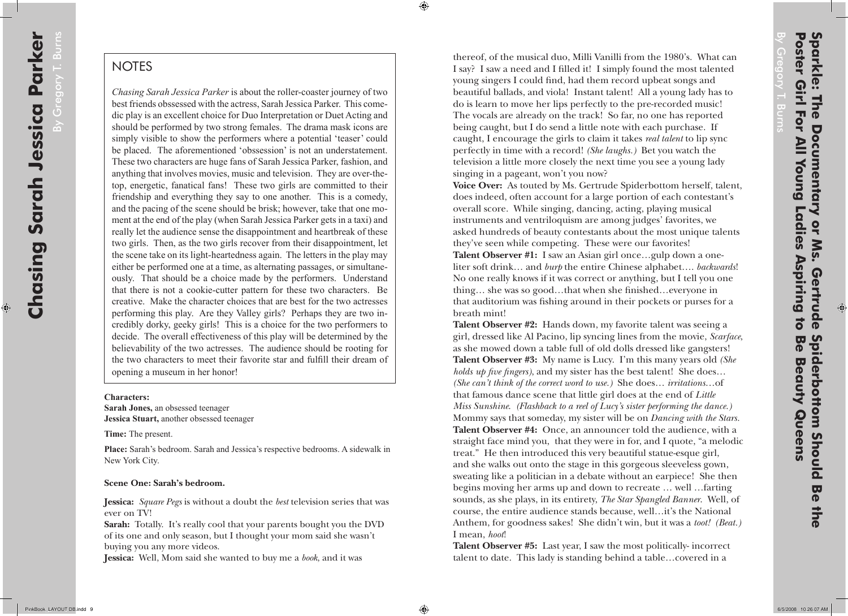By Gregory T. Burns By Gregory T. Burn

## **NOTES**

*Chasing Sarah Jessica Parker* is about the roller-coaster journey of two best friends obssessed with the actress, Sarah Jessica Parker. This come dic play is an excellent choice for Duo Interpretation or Duet Acting and should be performed by two strong females. The drama mask icons are simply visible to show the performers where a potential 'teaser' could be placed. The aforementioned 'obssession' is not an understatement. These two characters are huge fans of Sarah Jessica Parker, fashion, and anything that involves movies, music and television. They are over-thetop, energetic, fanatical fans! These two girls are committed to their friendship and everything they say to one another. This is a comedy, and the pacing of the scene should be brisk; however, take that one mo ment at the end of the play (when Sarah Jessica Parker gets in a taxi) and really let the audience sense the disappointment and heartbreak of these two girls. Then, as the two girls recover from their disappointment, let the scene take on its light-heartedness again. The letters in the play may either be performed one at a time, as alternating passages, or simultane ously. That should be a choice made by the performers. Understand that there is not a cookie-cutter pattern for these two characters. Be creative. Make the character choices that are best for the two actresses performing this play. Are they Valley girls? Perhaps they are two in credibly dorky, geeky girls! This is a choice for the two performers to decide. The overall effectiveness of this play will be determined by the believability of the two actresses. The audience should be rooting for the two characters to meet their favorite star and fulfill their dream of opening a museum in her honor!

€

## **Characters:**

**Sarah Jones,** an obsessed teenager **Jessica Stuart,** another obsessed teenager

**Time:** The present.

**Place:** Sarah's bedroom. Sarah and Jessica's respective bedrooms. A sidewalk in New York City.

## **Scene One: Sarah's bedroom.**

**Jessica:** *Square Pegs* is without a doubt the *best* television series that was ever on TV!

**Sarah:** Totally. It's really cool that your parents bought you the DVD of its one and only season, but I thought your mom said she wasn't buying you any more videos.

**Jessica:** Well, Mom said she wanted to buy me a *book*, and it was